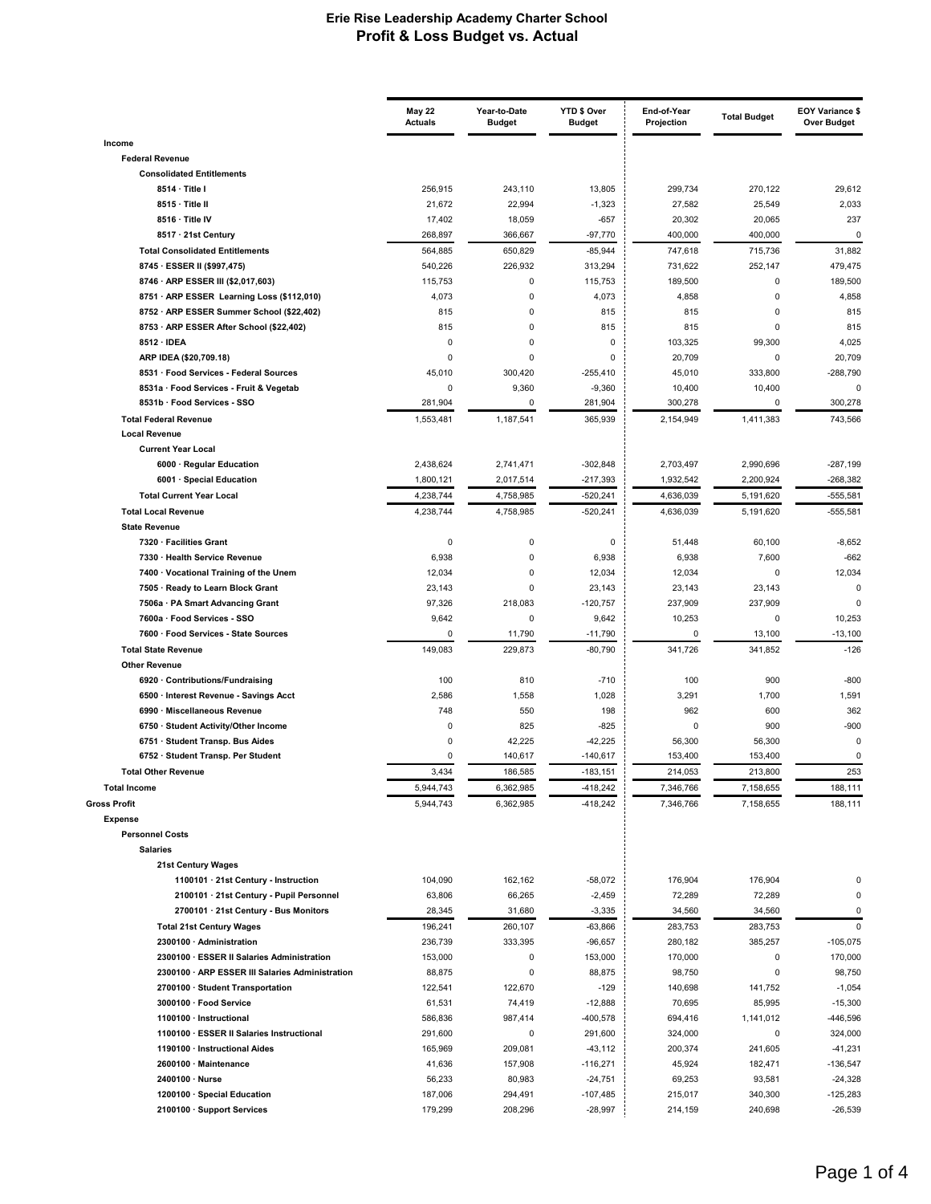|                                                                                         | <b>May 22</b><br><b>Actuals</b> | Year-to-Date<br><b>Budget</b> | YTD \$ Over<br><b>Budget</b> | End-of-Year<br>Projection | <b>Total Budget</b> | EOY Variance \$<br><b>Over Budget</b> |
|-----------------------------------------------------------------------------------------|---------------------------------|-------------------------------|------------------------------|---------------------------|---------------------|---------------------------------------|
| Income                                                                                  |                                 |                               |                              |                           |                     |                                       |
| <b>Federal Revenue</b>                                                                  |                                 |                               |                              |                           |                     |                                       |
| <b>Consolidated Entitlements</b>                                                        |                                 |                               |                              |                           |                     |                                       |
| 8514 · Title I                                                                          | 256,915                         | 243,110                       | 13,805                       | 299,734                   | 270,122             | 29,612                                |
| 8515 · Title II                                                                         | 21,672                          | 22,994                        | $-1,323$                     | 27,582                    | 25,549              | 2,033                                 |
| 8516 · Title IV                                                                         | 17,402                          | 18,059                        | $-657$                       | 20,302                    | 20,065              | 237                                   |
| 8517 · 21st Century                                                                     | 268,897                         | 366,667                       | $-97,770$                    | 400,000                   | 400,000             | $\Omega$                              |
| <b>Total Consolidated Entitlements</b>                                                  | 564,885                         | 650,829                       | $-85,944$                    | 747,618                   | 715,736             | 31,882                                |
| 8745 · ESSER II (\$997,475)                                                             | 540,226                         | 226,932                       | 313,294                      | 731,622                   | 252,147             | 479,475                               |
| 8746 · ARP ESSER III (\$2,017,603)                                                      | 115,753                         | 0                             | 115,753                      | 189,500                   | 0<br>0              | 189,500                               |
| 8751 · ARP ESSER Learning Loss (\$112,010)<br>8752 · ARP ESSER Summer School (\$22,402) | 4,073<br>815                    | 0<br>$\mathbf 0$              | 4,073<br>815                 | 4,858<br>815              | 0                   | 4,858<br>815                          |
| 8753 · ARP ESSER After School (\$22,402)                                                | 815                             | 0                             | 815                          | 815                       | 0                   | 815                                   |
| 8512 · IDEA                                                                             | $\Omega$                        | $\mathbf 0$                   | 0                            | 103,325                   | 99,300              | 4,025                                 |
| ARP IDEA (\$20,709.18)                                                                  | $\Omega$                        | $\mathbf 0$                   | 0                            | 20,709                    | 0                   | 20,709                                |
| 8531 · Food Services - Federal Sources                                                  | 45,010                          | 300,420                       | $-255,410$                   | 45,010                    | 333,800             | $-288,790$                            |
| 8531a · Food Services - Fruit & Vegetab                                                 | 0                               | 9,360                         | $-9,360$                     | 10,400                    | 10,400              | $\Omega$                              |
| 8531b · Food Services - SSO                                                             | 281,904                         | 0                             | 281,904                      | 300,278                   | 0                   | 300,278                               |
| <b>Total Federal Revenue</b>                                                            | 1,553,481                       | 1,187,541                     | 365.939                      | 2,154,949                 | 1,411,383           | 743.566                               |
| <b>Local Revenue</b>                                                                    |                                 |                               |                              |                           |                     |                                       |
| <b>Current Year Local</b>                                                               |                                 |                               |                              |                           |                     |                                       |
| 6000 · Regular Education                                                                | 2,438,624                       | 2.741.471                     | $-302,848$                   | 2,703,497                 | 2,990,696           | $-287,199$                            |
| 6001 · Special Education                                                                | 1,800,121                       | 2,017,514                     | -217,393                     | 1,932,542                 | 2,200,924           | $-268,382$                            |
| <b>Total Current Year Local</b>                                                         | 4,238,744                       | 4,758,985                     | $-520,241$                   | 4,636,039                 | 5,191,620           | $-555,581$                            |
| <b>Total Local Revenue</b>                                                              | 4,238,744                       | 4,758,985                     | $-520,241$                   | 4,636,039                 | 5,191,620           | $-555,581$                            |
| <b>State Revenue</b>                                                                    |                                 |                               |                              |                           |                     |                                       |
| 7320 · Facilities Grant<br>7330 · Health Service Revenue                                | 0<br>6,938                      | 0<br>$\mathbf 0$              | 0<br>6,938                   | 51,448<br>6,938           | 60,100<br>7,600     | $-8,652$<br>$-662$                    |
| 7400 · Vocational Training of the Unem                                                  | 12,034                          | 0                             | 12,034                       | 12,034                    | 0                   | 12,034                                |
| 7505 · Ready to Learn Block Grant                                                       | 23,143                          | 0                             | 23,143                       | 23,143                    | 23,143              | $\mathbf 0$                           |
| 7506a · PA Smart Advancing Grant                                                        | 97,326                          | 218,083                       | $-120,757$                   | 237,909                   | 237,909             | $\Omega$                              |
| 7600a · Food Services - SSO                                                             | 9,642                           | 0                             | 9,642                        | 10,253                    | 0                   | 10,253                                |
| 7600 · Food Services - State Sources                                                    | $\Omega$                        | 11,790                        | $-11,790$                    | $\mathbf 0$               | 13,100              | $-13,100$                             |
| <b>Total State Revenue</b>                                                              | 149,083                         | 229,873                       | $-80,790$                    | 341,726                   | 341,852             | $-126$                                |
| <b>Other Revenue</b>                                                                    |                                 |                               |                              |                           |                     |                                       |
| 6920 Contributions/Fundraising                                                          | 100                             | 810                           | $-710$                       | 100                       | 900                 | $-800$                                |
| 6500 · Interest Revenue - Savings Acct                                                  | 2,586                           | 1,558                         | 1,028                        | 3,291                     | 1,700               | 1,591                                 |
| 6990 · Miscellaneous Revenue                                                            | 748                             | 550                           | 198                          | 962                       | 600                 | 362                                   |
| 6750 · Student Activity/Other Income                                                    | 0                               | 825                           | $-825$                       | 0                         | 900                 | $-900$                                |
| 6751 · Student Transp. Bus Aides                                                        | 0<br>0                          | 42,225                        | $-42,225$                    | 56,300                    | 56,300              | $\mathbf 0$<br>$\mathbf 0$            |
| 6752 · Student Transp. Per Student<br><b>Total Other Revenue</b>                        | 3,434                           | 140,617<br>186,585            | $-140,617$<br>$-183, 151$    | 153,400<br>214,053        | 153,400<br>213,800  | 253                                   |
| <b>Total Income</b>                                                                     | 5,944,743                       | 6,362,985                     | $-418,242$                   | 7,346,766                 | 7,158,655           | 188,111                               |
| <b>Gross Profit</b>                                                                     | 5,944,743                       | 6,362,985                     | $-418,242$                   | 7,346,766                 | 7,158,655           | 188,111                               |
| <b>Expense</b>                                                                          |                                 |                               |                              |                           |                     |                                       |
| <b>Personnel Costs</b>                                                                  |                                 |                               |                              |                           |                     |                                       |
| <b>Salaries</b>                                                                         |                                 |                               |                              |                           |                     |                                       |
| 21st Century Wages                                                                      |                                 |                               |                              |                           |                     |                                       |
| 1100101 · 21st Century - Instruction                                                    | 104,090                         | 162,162                       | $-58,072$                    | 176,904                   | 176,904             | 0                                     |
| 2100101 · 21st Century - Pupil Personnel                                                | 63,806                          | 66,265                        | $-2,459$                     | 72,289                    | 72,289              | 0                                     |
| 2700101 · 21st Century - Bus Monitors                                                   | 28,345                          | 31,680                        | $-3,335$                     | 34,560                    | 34,560              | 0                                     |
| <b>Total 21st Century Wages</b>                                                         | 196,241                         | 260,107                       | $-63,866$                    | 283,753                   | 283,753             | $\mathbf 0$                           |
| 2300100 · Administration                                                                | 236,739                         | 333,395                       | $-96,657$                    | 280,182                   | 385,257             | $-105,075$                            |
| 2300100 · ESSER II Salaries Administration                                              | 153,000                         | 0                             | 153,000                      | 170,000                   | 0                   | 170,000                               |
| 2300100 · ARP ESSER III Salaries Administration                                         | 88,875                          | $\pmb{0}$                     | 88,875                       | 98,750                    | 0                   | 98,750                                |
| 2700100 · Student Transportation                                                        | 122,541                         | 122,670                       | $-129$                       | 140,698                   | 141,752             | $-1,054$                              |
| 3000100 · Food Service<br>1100100 · Instructional                                       | 61,531<br>586,836               | 74,419<br>987,414             | $-12,888$<br>$-400,578$      | 70,695<br>694,416         | 85,995<br>1,141,012 | $-15,300$<br>-446,596                 |
| 1100100 · ESSER II Salaries Instructional                                               | 291,600                         | 0                             | 291,600                      | 324,000                   | 0                   | 324,000                               |
| 1190100 · Instructional Aides                                                           | 165,969                         | 209,081                       | $-43,112$                    | 200,374                   | 241,605             | $-41,231$                             |
| 2600100 · Maintenance                                                                   | 41,636                          | 157,908                       | $-116,271$                   | 45,924                    | 182,471             | $-136,547$                            |
| 2400100 · Nurse                                                                         | 56,233                          | 80,983                        | $-24,751$                    | 69,253                    | 93,581              | $-24,328$                             |
| 1200100 · Special Education                                                             | 187,006                         | 294,491                       | $-107,485$                   | 215,017                   | 340,300             | $-125,283$                            |
| 2100100 · Support Services                                                              | 179,299                         | 208,296                       | $-28,997$                    | 214,159                   | 240,698             | $-26,539$                             |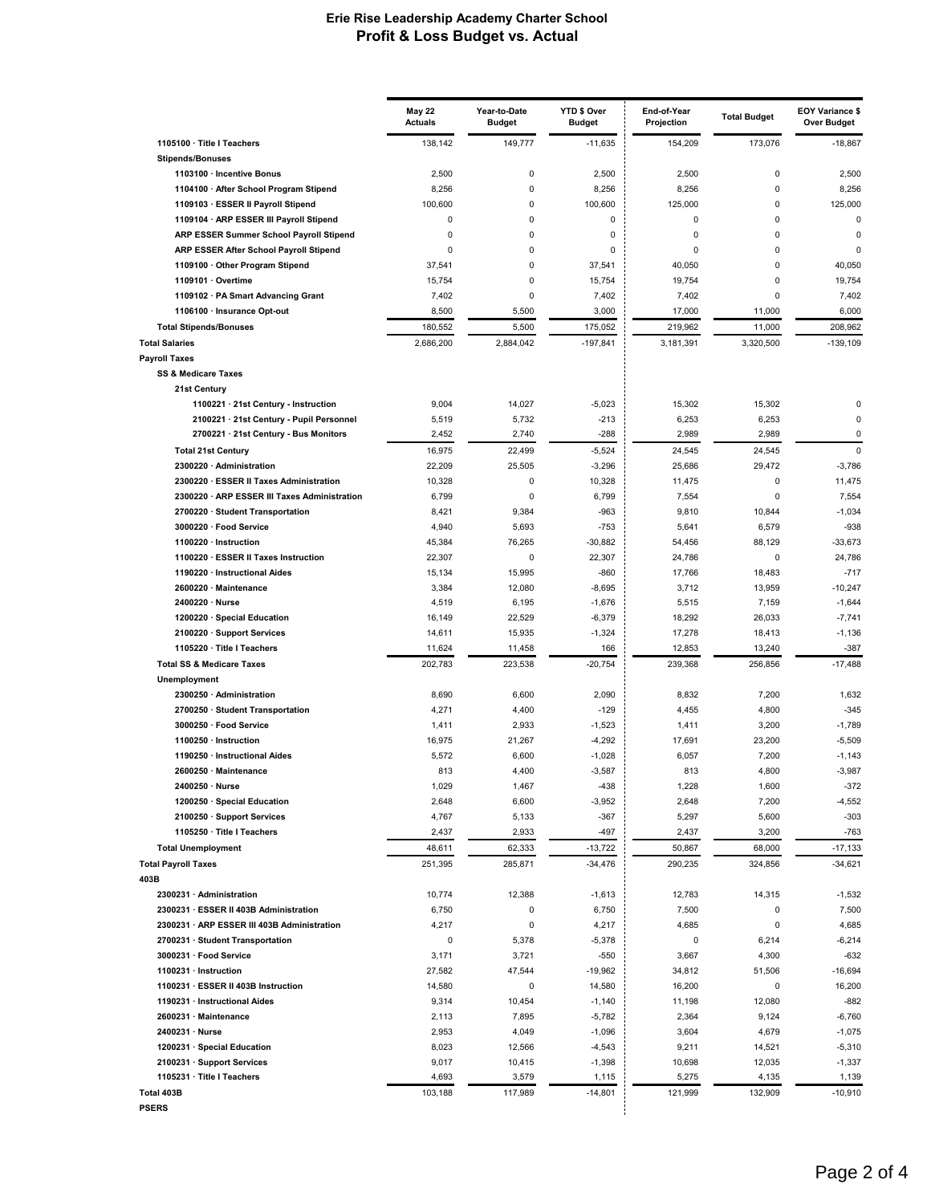|                                                            | <b>May 22</b><br><b>Actuals</b> | Year-to-Date<br><b>Budget</b> | YTD \$ Over<br><b>Budget</b> | End-of-Year<br>Projection | <b>Total Budget</b> | <b>EOY Variance \$</b><br><b>Over Budget</b> |
|------------------------------------------------------------|---------------------------------|-------------------------------|------------------------------|---------------------------|---------------------|----------------------------------------------|
| 1105100 · Title I Teachers                                 | 138,142                         | 149.777                       | $-11,635$                    | 154,209                   | 173,076             | $-18,867$                                    |
| <b>Stipends/Bonuses</b><br>1103100 · Incentive Bonus       | 2,500                           | 0                             | 2,500                        | 2,500                     | 0                   | 2,500                                        |
| 1104100 · After School Program Stipend                     | 8,256                           | 0                             | 8,256                        | 8,256                     | $\pmb{0}$           | 8,256                                        |
| 1109103 · ESSER II Payroll Stipend                         | 100,600                         | 0                             | 100,600                      | 125,000                   | 0                   | 125,000                                      |
| 1109104 · ARP ESSER III Payroll Stipend                    | 0                               | 0                             | 0                            | 0                         | 0                   | $\Omega$                                     |
| ARP ESSER Summer School Payroll Stipend                    | $\mathbf 0$                     | 0                             | 0                            | 0                         | 0                   | 0                                            |
| ARP ESSER After School Payroll Stipend                     | 0                               | 0                             | 0                            | 0                         | $\mathbf 0$         | $\mathbf 0$                                  |
| 1109100 · Other Program Stipend                            | 37,541                          | 0                             | 37,541                       | 40,050                    | 0                   | 40,050                                       |
| 1109101 · Overtime                                         | 15,754                          | 0                             | 15,754                       | 19,754                    | 0                   | 19,754                                       |
| 1109102 · PA Smart Advancing Grant                         | 7,402                           | 0                             | 7,402                        | 7,402                     | $\mathbf 0$         | 7,402                                        |
| 1106100 · Insurance Opt-out                                | 8,500                           | 5,500                         | 3,000                        | 17,000                    | 11,000              | 6,000                                        |
| <b>Total Stipends/Bonuses</b>                              | 180,552                         | 5,500                         | 175,052                      | 219,962                   | 11,000              | 208,962                                      |
| <b>Total Salaries</b>                                      | 2,686,200                       | 2,884,042                     | $-197,841$                   | 3,181,391                 | 3,320,500           | $-139,109$                                   |
| <b>Payroll Taxes</b>                                       |                                 |                               |                              |                           |                     |                                              |
| <b>SS &amp; Medicare Taxes</b>                             |                                 |                               |                              |                           |                     |                                              |
| 21st Century                                               |                                 |                               |                              |                           |                     |                                              |
| 1100221 · 21st Century - Instruction                       | 9,004                           | 14,027                        | $-5,023$                     | 15,302                    | 15,302              | 0                                            |
| 2100221 · 21st Century - Pupil Personnel                   | 5,519                           | 5,732                         | $-213$                       | 6,253                     | 6,253               | $\mathbf 0$                                  |
| 2700221 · 21st Century - Bus Monitors                      | 2,452                           | 2,740                         | $-288$                       | 2,989                     | 2,989               | $\mathbf 0$                                  |
| <b>Total 21st Century</b>                                  | 16,975                          | 22,499                        | $-5,524$                     | 24,545                    | 24,545              | $\mathbf 0$                                  |
| 2300220 · Administration                                   | 22,209                          | 25,505                        | $-3,296$                     | 25,686                    | 29,472              | $-3,786$                                     |
| 2300220 · ESSER II Taxes Administration                    | 10,328                          | 0                             | 10,328                       | 11,475                    | 0                   | 11,475                                       |
| 2300220 · ARP ESSER III Taxes Administration               | 6,799                           | 0                             | 6,799                        | 7,554                     | 0                   | 7,554                                        |
| 2700220 · Student Transportation                           | 8,421                           | 9,384                         | $-963$                       | 9,810                     | 10,844              | $-1,034$                                     |
| 3000220 · Food Service                                     | 4,940                           | 5,693                         | $-753$                       | 5,641                     | 6,579               | $-938$                                       |
| 1100220 · Instruction                                      | 45,384                          | 76,265                        | $-30,882$                    | 54,456                    | 88,129              | $-33,673$                                    |
| 1100220 · ESSER II Taxes Instruction                       | 22,307                          | 0                             | 22,307                       | 24,786                    | $\Omega$            | 24,786                                       |
| 1190220 · Instructional Aides<br>2600220 · Maintenance     | 15,134<br>3,384                 | 15,995<br>12,080              | $-860$<br>$-8,695$           | 17,766<br>3,712           | 18,483<br>13,959    | $-717$<br>$-10,247$                          |
| 2400220 · Nurse                                            | 4,519                           | 6,195                         | $-1,676$                     | 5,515                     | 7,159               | $-1,644$                                     |
| 1200220 · Special Education                                | 16,149                          | 22,529                        | $-6,379$                     | 18,292                    | 26,033              | $-7,741$                                     |
| 2100220 · Support Services                                 | 14,611                          | 15,935                        | $-1,324$                     | 17,278                    | 18,413              | $-1,136$                                     |
| 1105220 · Title I Teachers                                 | 11,624                          | 11,458                        | 166                          | 12,853                    | 13,240              | $-387$                                       |
| <b>Total SS &amp; Medicare Taxes</b>                       | 202,783                         | 223,538                       | $-20,754$                    | 239,368                   | 256,856             | $-17,488$                                    |
| Unemployment                                               |                                 |                               |                              |                           |                     |                                              |
| 2300250 · Administration                                   | 8,690                           | 6,600                         | 2,090                        | 8,832                     | 7,200               | 1,632                                        |
| 2700250 · Student Transportation                           | 4,271                           | 4,400                         | $-129$                       | 4,455                     | 4,800               | $-345$                                       |
| 3000250 · Food Service                                     | 1,411                           | 2,933                         | $-1,523$                     | 1,411                     | 3,200               | $-1,789$                                     |
| 1100250 · Instruction                                      | 16,975                          | 21,267                        | $-4,292$                     | 17,691                    | 23,200              | $-5,509$                                     |
| 1190250 · Instructional Aides                              | 5,572                           | 6,600                         | $-1,028$                     | 6,057                     | 7,200               | $-1,143$                                     |
| 2600250 · Maintenance                                      | 813                             | 4,400                         | $-3,587$                     | 813                       | 4,800               | $-3,987$                                     |
| 2400250 · Nurse                                            | 1,029                           | 1,467                         | $-438$                       | 1,228                     | 1,600               | $-372$                                       |
| 1200250 · Special Education                                | 2,648                           | 6,600                         | $-3,952$                     | 2,648                     | 7,200               | $-4,552$                                     |
| 2100250 · Support Services                                 | 4,767                           | 5,133                         | $-367$                       | 5,297                     | 5,600               | $-303$                                       |
| 1105250 · Title I Teachers                                 | 2,437                           | 2,933                         | -497                         | 2,437                     | 3,200               | $-763$                                       |
| <b>Total Unemployment</b>                                  | 48,611                          | 62,333                        | $-13,722$                    | 50,867                    | 68,000              | $-17,133$                                    |
| <b>Total Payroll Taxes</b>                                 | 251,395                         | 285,871                       | $-34,476$                    | 290,235                   | 324,856             | $-34,621$                                    |
| 403B                                                       |                                 |                               |                              |                           |                     |                                              |
| 2300231 · Administration                                   | 10,774                          | 12,388                        | $-1,613$                     | 12,783                    | 14,315              | $-1,532$                                     |
| 2300231 · ESSER II 403B Administration                     | 6,750                           | 0                             | 6,750                        | 7,500                     | 0                   | 7,500                                        |
| 2300231 · ARP ESSER III 403B Administration                | 4,217                           | 0                             | 4,217                        | 4,685                     | 0                   | 4,685                                        |
| 2700231 · Student Transportation<br>3000231 · Food Service | 0<br>3,171                      | 5,378<br>3,721                | $-5,378$<br>$-550$           | 0<br>3,667                | 6,214<br>4,300      | $-6,214$<br>$-632$                           |
| 1100231 · Instruction                                      |                                 |                               |                              |                           |                     |                                              |
| 1100231 · ESSER II 403B Instruction                        | 27,582<br>14,580                | 47,544<br>0                   | $-19,962$<br>14,580          | 34,812<br>16,200          | 51,506<br>0         | $-16,694$<br>16,200                          |
| 1190231 · Instructional Aides                              | 9,314                           | 10,454                        | $-1,140$                     | 11,198                    | 12,080              | $-882$                                       |
| 2600231 · Maintenance                                      | 2,113                           | 7,895                         | $-5,782$                     | 2,364                     | 9,124               | $-6,760$                                     |
| 2400231 · Nurse                                            | 2,953                           | 4,049                         | $-1,096$                     | 3,604                     | 4,679               | $-1,075$                                     |
| 1200231 · Special Education                                | 8,023                           | 12,566                        | $-4,543$                     | 9,211                     | 14,521              | $-5,310$                                     |
| 2100231 · Support Services                                 | 9,017                           | 10,415                        | $-1,398$                     | 10,698                    | 12,035              | $-1,337$                                     |
| 1105231 · Title I Teachers                                 | 4,693                           | 3,579                         | 1,115                        | 5,275                     | 4,135               | 1,139                                        |
| Total 403B                                                 | 103,188                         | 117,989                       | $-14,801$                    | 121,999                   | 132,909             | $-10,910$                                    |
| PSERS                                                      |                                 |                               |                              |                           |                     |                                              |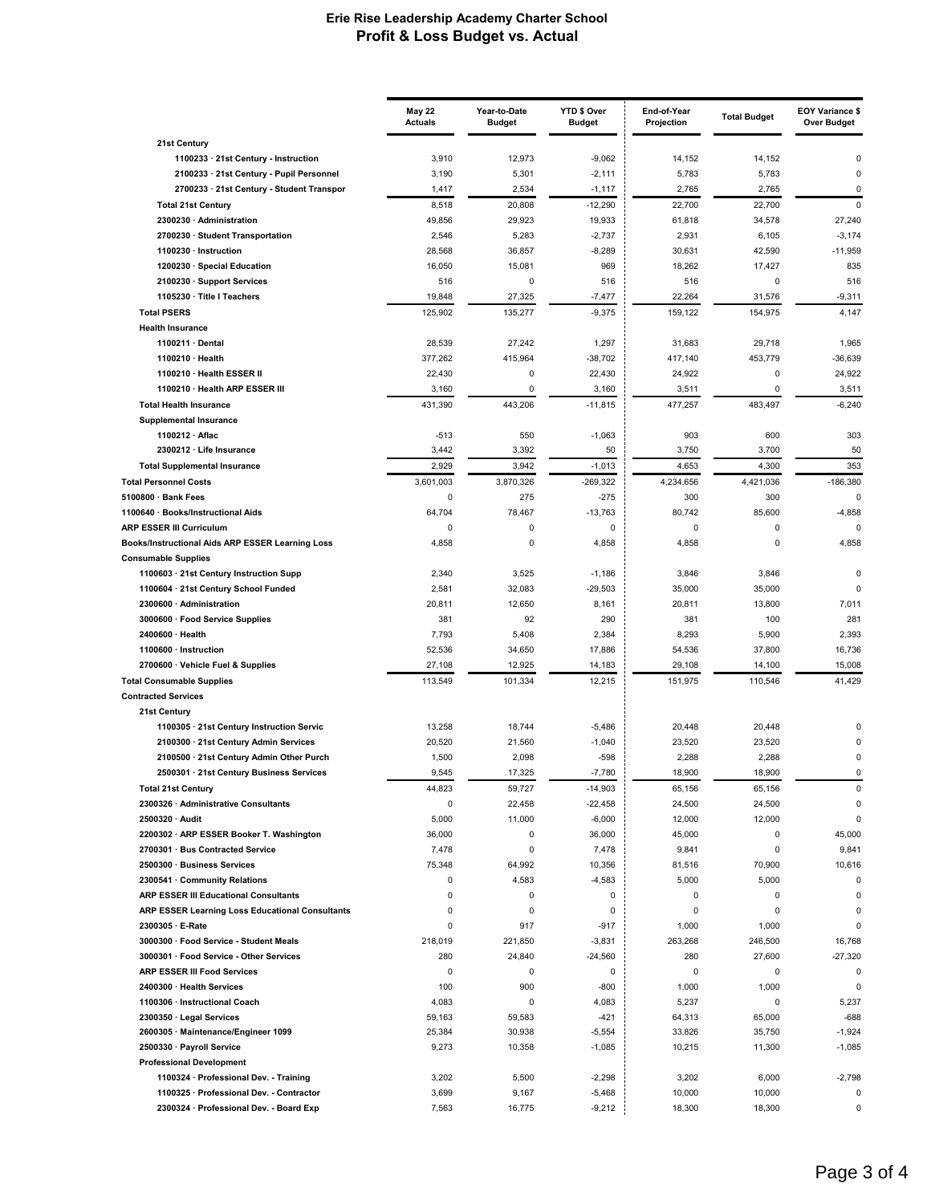|                                                                                | <b>May 22</b><br><b>Actuals</b> | Year-to-Date<br><b>Budget</b> | YTD \$ Over<br><b>Budget</b> | End-of-Year<br>Projection | <b>Total Budget</b> | <b>EOY Variance \$</b><br>Over Budget |
|--------------------------------------------------------------------------------|---------------------------------|-------------------------------|------------------------------|---------------------------|---------------------|---------------------------------------|
| 21st Century                                                                   |                                 |                               |                              |                           |                     |                                       |
| 1100233 · 21st Century - Instruction                                           | 3,910                           | 12,973                        | $-9,062$                     | 14,152                    | 14,152              | 0                                     |
| 2100233 · 21st Century - Pupil Personnel                                       | 3,190                           | 5,301                         | $-2,111$                     | 5,783                     | 5,783               | $\mathbf 0$                           |
| 2700233 · 21st Century - Student Transpor                                      | 1,417                           | 2,534                         | $-1,117$                     | 2,765                     | 2,765               | 0                                     |
| <b>Total 21st Century</b>                                                      | 8,518                           | 20,808                        | $-12,290$                    | 22,700                    | 22,700              | 0                                     |
| 2300230 · Administration                                                       | 49,856                          | 29,923                        | 19,933                       | 61,818                    | 34,578              | 27,240                                |
| 2700230 · Student Transportation                                               | 2,546                           | 5,283                         | $-2,737$                     | 2,931                     | 6,105               | $-3,174$                              |
| 1100230 · Instruction                                                          | 28,568                          | 36,857                        | $-8,289$                     | 30,631                    | 42,590              | $-11,959$                             |
| 1200230 · Special Education                                                    | 16,050                          | 15,081                        | 969                          | 18,262                    | 17,427              | 835                                   |
| 2100230 · Support Services                                                     | 516                             | 0                             | 516                          | 516                       | 0                   | 516                                   |
| 1105230 · Title I Teachers                                                     | 19,848                          | 27,325                        | $-7,477$                     | 22,264                    | 31,576              | $-9,311$                              |
| <b>Total PSERS</b>                                                             | 125,902                         | 135,277                       | $-9,375$                     | 159,122                   | 154,975             | 4,147                                 |
| <b>Health Insurance</b>                                                        |                                 |                               |                              |                           |                     |                                       |
| 1100211 · Dental                                                               | 28,539                          | 27,242                        | 1,297                        | 31,683                    | 29,718              | 1,965                                 |
| 1100210 · Health                                                               | 377,262                         | 415,964                       | $-38,702$                    | 417,140                   | 453,779             | $-36,639$                             |
| 1100210 · Health ESSER II                                                      | 22,430                          | 0                             | 22,430                       | 24,922                    | 0                   | 24,922                                |
| 1100210 · Health ARP ESSER III                                                 | 3,160                           | $\pmb{0}$                     | 3,160                        | 3,511                     | 0                   | 3,511                                 |
| <b>Total Health Insurance</b>                                                  | 431.390                         | 443,206                       | $-11,815$                    | 477,257                   | 483,497             | $-6,240$                              |
| <b>Supplemental Insurance</b>                                                  |                                 |                               |                              |                           |                     |                                       |
| 1100212 · Aflac                                                                | $-513$                          | 550                           | $-1,063$                     | 903                       | 600                 | 303                                   |
| 2300212 · Life Insurance                                                       | 3,442                           | 3,392                         | 50                           | 3,750                     | 3,700               | 50                                    |
| <b>Total Supplemental Insurance</b>                                            | 2,929                           | 3,942                         | $-1,013$                     | 4,653                     | 4,300               | 353                                   |
|                                                                                |                                 |                               |                              |                           |                     |                                       |
| <b>Total Personnel Costs</b>                                                   | 3,601,003                       | 3,870,326                     | $-269.322$                   | 4,234,656                 | 4,421,036           | $-186,380$                            |
| 5100800 · Bank Fees                                                            | 0                               | 275                           | $-275$                       | 300                       | 300                 | $\mathbf 0$                           |
| 1100640 · Books/Instructional Aids                                             | 64,704                          | 78,467                        | $-13,763$                    | 80,742                    | 85,600              | $-4,858$                              |
| <b>ARP ESSER III Curriculum</b>                                                | 0                               | 0                             | 0                            | 0                         | 0                   | $\mathbf 0$                           |
| Books/Instructional Aids ARP ESSER Learning Loss<br><b>Consumable Supplies</b> | 4,858                           | 0                             | 4,858                        | 4,858                     | 0                   | 4,858                                 |
| 1100603 · 21st Century Instruction Supp                                        | 2,340                           | 3,525                         | $-1,186$                     | 3,846                     | 3,846               | $\Omega$                              |
| 1100604 · 21st Century School Funded                                           | 2,581                           | 32,083                        | $-29,503$                    | 35,000                    | 35,000              | $\Omega$                              |
| 2300600 · Administration                                                       | 20,811                          | 12,650                        | 8,161                        | 20,811                    | 13,800              | 7,011                                 |
| 3000600 · Food Service Supplies                                                | 381                             | 92                            | 290                          | 381                       | 100                 | 281                                   |
| 2400600 · Health                                                               | 7,793                           | 5,408                         | 2,384                        | 8,293                     | 5,900               | 2,393                                 |
| 1100600 · Instruction                                                          | 52,536                          | 34,650                        | 17,886                       | 54,536                    | 37,800              | 16,736                                |
| 2700600 · Vehicle Fuel & Supplies                                              | 27,108                          | 12,925                        | 14,183                       | 29,108                    | 14,100              | 15,008                                |
| <b>Total Consumable Supplies</b>                                               | 113,549                         | 101,334                       | 12,215                       | 151,975                   | 110,546             | 41,429                                |
| <b>Contracted Services</b>                                                     |                                 |                               |                              |                           |                     |                                       |
| 21st Century                                                                   |                                 |                               |                              |                           |                     |                                       |
| 1100305 · 21st Century Instruction Servic                                      | 13,258                          | 18,744                        | $-5,486$                     | 20,448                    | 20,448              | 0                                     |
| 2100300 · 21st Century Admin Services                                          | 20,520                          | 21,560                        | $-1,040$                     | 23,520                    | 23,520              | 0                                     |
| 2100500 · 21st Century Admin Other Purch                                       | 1,500                           | 2,098                         | $-598$                       | 2,288                     | 2,288               | 0                                     |
| 2500301 · 21st Century Business Services                                       | 9,545                           | 17,325                        | $-7,780$                     | 18,900                    | 18,900              | 0                                     |
| <b>Total 21st Century</b>                                                      | 44,823                          | 59,727                        | $-14,903$                    | 65,156                    | 65,156              | 0                                     |
| 2300326 · Administrative Consultants                                           | 0                               | 22,458                        | $-22,458$                    | 24,500                    | 24,500              | $\mathbf 0$                           |
| 2500320 · Audit                                                                | 5,000                           | 11,000                        | $-6,000$                     | 12,000                    | 12,000              | $\mathbf 0$                           |
| 2200302 · ARP ESSER Booker T. Washington                                       | 36,000                          | 0                             | 36,000                       | 45,000                    | 0                   | 45,000                                |
| 2700301 · Bus Contracted Service                                               | 7,478                           | 0                             | 7,478                        | 9,841                     | 0                   | 9,841                                 |
| 2500300 · Business Services                                                    | 75,348                          | 64,992                        | 10,356                       | 81,516                    | 70,900              | 10,616                                |
| 2300541 · Community Relations                                                  | 0                               | 4,583                         | $-4,583$                     | 5,000                     | 5,000               | 0                                     |
| <b>ARP ESSER III Educational Consultants</b>                                   | 0                               | 0                             | 0                            | 0                         | 0                   | $\mathbf 0$                           |
| ARP ESSER Learning Loss Educational Consultants                                | 0                               | 0                             | 0                            | $\mathbf 0$               | 0                   | $\mathbf 0$                           |
| 2300305 · E-Rate                                                               | 0                               | 917                           | $-917$                       | 1,000                     | 1,000               | $\mathbf 0$                           |
| 3000300 · Food Service - Student Meals                                         | 218,019                         | 221,850                       | $-3,831$                     | 263,268                   | 246,500             | 16,768                                |
| 3000301 · Food Service - Other Services                                        | 280                             | 24,840                        | $-24,560$                    | 280                       | 27,600              | $-27,320$                             |
| <b>ARP ESSER III Food Services</b>                                             | 0                               | 0                             | 0                            | 0                         | 0                   | 0                                     |
| 2400300 · Health Services                                                      | 100                             | 900                           | $-800$                       | 1,000                     | 1,000               | $\mathbf 0$                           |
|                                                                                |                                 |                               |                              |                           |                     |                                       |
| 1100306 · Instructional Coach                                                  | 4,083                           | 0                             | 4,083                        | 5,237                     | 0                   | 5,237                                 |
| 2300350 · Legal Services                                                       | 59,163                          | 59,583                        | $-421$                       | 64,313                    | 65,000              | $-688$                                |
| 2600305 · Maintenance/Engineer 1099                                            | 25,384                          | 30,938                        | $-5,554$                     | 33,826                    | 35,750              | $-1,924$                              |
| 2500330 · Payroll Service                                                      | 9,273                           | 10,358                        | $-1,085$                     | 10,215                    | 11,300              | $-1,085$                              |
| <b>Professional Development</b>                                                |                                 |                               |                              |                           |                     |                                       |
| 1100324 · Professional Dev. - Training                                         | 3,202                           | 5,500                         | $-2,298$                     | 3,202                     | 6,000               | $-2,798$                              |
| 1100325 · Professional Dev. - Contractor                                       | 3,699                           | 9,167                         | $-5,468$                     | 10,000                    | 10,000              | 0                                     |
| 2300324 · Professional Dev. - Board Exp                                        | 7,563                           | 16,775                        | $-9,212$                     | 18,300                    | 18,300              | 0                                     |